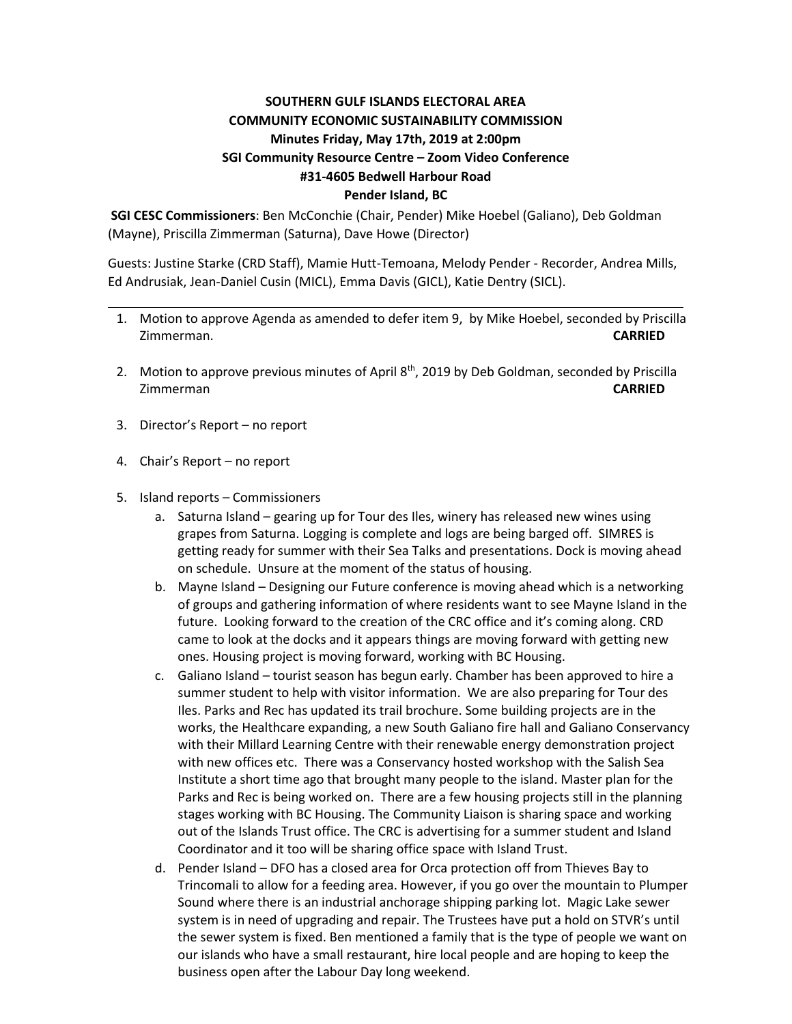## **SOUTHERN GULF ISLANDS ELECTORAL AREA COMMUNITY ECONOMIC SUSTAINABILITY COMMISSION Minutes Friday, May 17th, 2019 at 2:00pm SGI Community Resource Centre – Zoom Video Conference #31-4605 Bedwell Harbour Road Pender Island, BC**

**SGI CESC Commissioners**: Ben McConchie (Chair, Pender) Mike Hoebel (Galiano), Deb Goldman (Mayne), Priscilla Zimmerman (Saturna), Dave Howe (Director)

Guests: Justine Starke (CRD Staff), Mamie Hutt-Temoana, Melody Pender - Recorder, Andrea Mills, Ed Andrusiak, Jean-Daniel Cusin (MICL), Emma Davis (GICL), Katie Dentry (SICL).

- 1. Motion to approve Agenda as amended to defer item 9, by Mike Hoebel, seconded by Priscilla Zimmerman. **CARRIED**
- 2. Motion to approve previous minutes of April  $8<sup>th</sup>$ , 2019 by Deb Goldman, seconded by Priscilla Zimmerman **CARRIED**
- 3. Director's Report no report
- 4. Chair's Report no report
- 5. Island reports Commissioners
	- a. Saturna Island gearing up for Tour des Iles, winery has released new wines using grapes from Saturna. Logging is complete and logs are being barged off. SIMRES is getting ready for summer with their Sea Talks and presentations. Dock is moving ahead on schedule. Unsure at the moment of the status of housing.
	- b. Mayne Island Designing our Future conference is moving ahead which is a networking of groups and gathering information of where residents want to see Mayne Island in the future. Looking forward to the creation of the CRC office and it's coming along. CRD came to look at the docks and it appears things are moving forward with getting new ones. Housing project is moving forward, working with BC Housing.
	- c. Galiano Island tourist season has begun early. Chamber has been approved to hire a summer student to help with visitor information. We are also preparing for Tour des Iles. Parks and Rec has updated its trail brochure. Some building projects are in the works, the Healthcare expanding, a new South Galiano fire hall and Galiano Conservancy with their Millard Learning Centre with their renewable energy demonstration project with new offices etc. There was a Conservancy hosted workshop with the Salish Sea Institute a short time ago that brought many people to the island. Master plan for the Parks and Rec is being worked on. There are a few housing projects still in the planning stages working with BC Housing. The Community Liaison is sharing space and working out of the Islands Trust office. The CRC is advertising for a summer student and Island Coordinator and it too will be sharing office space with Island Trust.
	- d. Pender Island DFO has a closed area for Orca protection off from Thieves Bay to Trincomali to allow for a feeding area. However, if you go over the mountain to Plumper Sound where there is an industrial anchorage shipping parking lot. Magic Lake sewer system is in need of upgrading and repair. The Trustees have put a hold on STVR's until the sewer system is fixed. Ben mentioned a family that is the type of people we want on our islands who have a small restaurant, hire local people and are hoping to keep the business open after the Labour Day long weekend.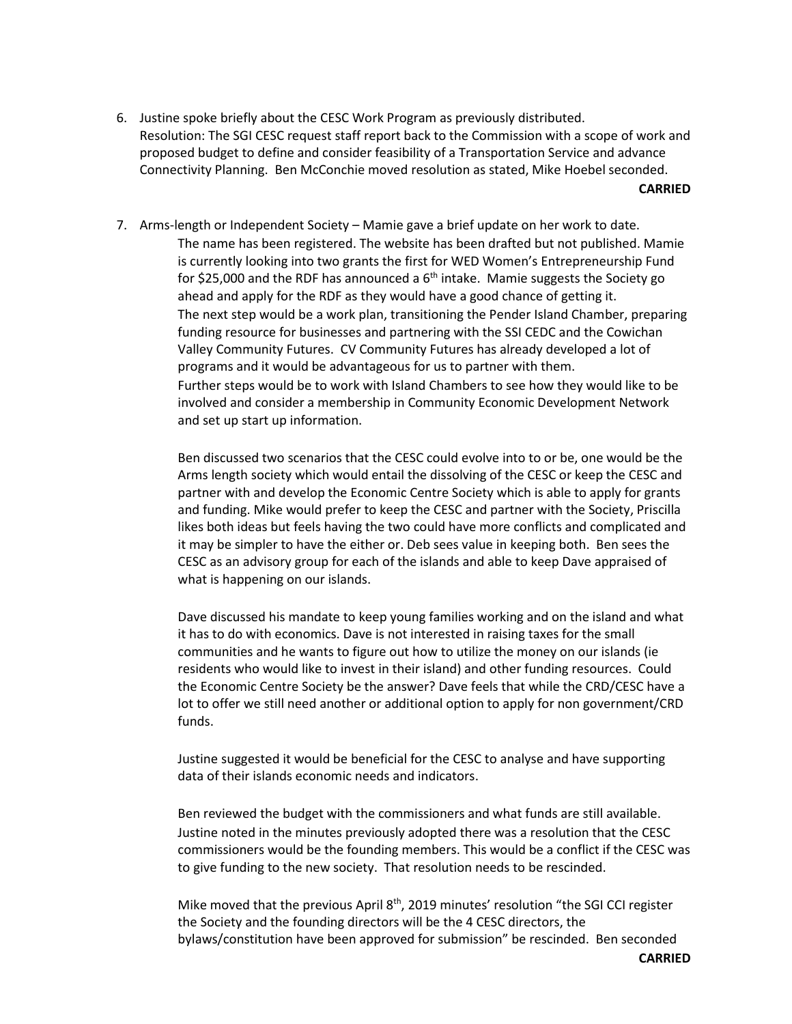6. Justine spoke briefly about the CESC Work Program as previously distributed. Resolution: The SGI CESC request staff report back to the Commission with a scope of work and proposed budget to define and consider feasibility of a Transportation Service and advance Connectivity Planning. Ben McConchie moved resolution as stated, Mike Hoebel seconded.

**CARRIED**

7. Arms-length or Independent Society – Mamie gave a brief update on her work to date. The name has been registered. The website has been drafted but not published. Mamie is currently looking into two grants the first for WED Women's Entrepreneurship Fund for \$25,000 and the RDF has announced a  $6<sup>th</sup>$  intake. Mamie suggests the Society go ahead and apply for the RDF as they would have a good chance of getting it. The next step would be a work plan, transitioning the Pender Island Chamber, preparing funding resource for businesses and partnering with the SSI CEDC and the Cowichan Valley Community Futures. CV Community Futures has already developed a lot of programs and it would be advantageous for us to partner with them. Further steps would be to work with Island Chambers to see how they would like to be involved and consider a membership in Community Economic Development Network and set up start up information.

> Ben discussed two scenarios that the CESC could evolve into to or be, one would be the Arms length society which would entail the dissolving of the CESC or keep the CESC and partner with and develop the Economic Centre Society which is able to apply for grants and funding. Mike would prefer to keep the CESC and partner with the Society, Priscilla likes both ideas but feels having the two could have more conflicts and complicated and it may be simpler to have the either or. Deb sees value in keeping both. Ben sees the CESC as an advisory group for each of the islands and able to keep Dave appraised of what is happening on our islands.

> Dave discussed his mandate to keep young families working and on the island and what it has to do with economics. Dave is not interested in raising taxes for the small communities and he wants to figure out how to utilize the money on our islands (ie residents who would like to invest in their island) and other funding resources. Could the Economic Centre Society be the answer? Dave feels that while the CRD/CESC have a lot to offer we still need another or additional option to apply for non government/CRD funds.

Justine suggested it would be beneficial for the CESC to analyse and have supporting data of their islands economic needs and indicators.

Ben reviewed the budget with the commissioners and what funds are still available. Justine noted in the minutes previously adopted there was a resolution that the CESC commissioners would be the founding members. This would be a conflict if the CESC was to give funding to the new society. That resolution needs to be rescinded.

Mike moved that the previous April  $8<sup>th</sup>$ , 2019 minutes' resolution "the SGI CCI register the Society and the founding directors will be the 4 CESC directors, the bylaws/constitution have been approved for submission" be rescinded. Ben seconded

**CARRIED**